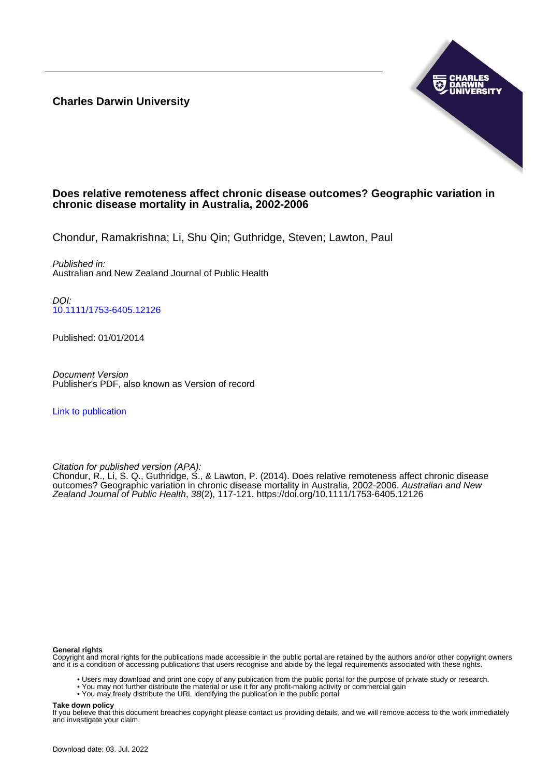**Charles Darwin University**



# **Does relative remoteness affect chronic disease outcomes? Geographic variation in chronic disease mortality in Australia, 2002-2006**

Chondur, Ramakrishna; Li, Shu Qin; Guthridge, Steven; Lawton, Paul

Published in: Australian and New Zealand Journal of Public Health

DOI: [10.1111/1753-6405.12126](https://doi.org/10.1111/1753-6405.12126)

Published: 01/01/2014

Document Version Publisher's PDF, also known as Version of record

[Link to publication](https://researchers.cdu.edu.au/en/publications/47a328f0-d5a1-45c5-996e-f62313f5deff)

Citation for published version (APA):

Chondur, R., Li, S. Q., Guthridge, S., & Lawton, P. (2014). Does relative remoteness affect chronic disease outcomes? Geographic variation in chronic disease mortality in Australia, 2002-2006. Australian and New Zealand Journal of Public Health, 38(2), 117-121.<https://doi.org/10.1111/1753-6405.12126>

#### **General rights**

Copyright and moral rights for the publications made accessible in the public portal are retained by the authors and/or other copyright owners and it is a condition of accessing publications that users recognise and abide by the legal requirements associated with these rights.

- Users may download and print one copy of any publication from the public portal for the purpose of private study or research.
- You may not further distribute the material or use it for any profit-making activity or commercial gain
- You may freely distribute the URL identifying the publication in the public portal

#### **Take down policy**

If you believe that this document breaches copyright please contact us providing details, and we will remove access to the work immediately and investigate your claim.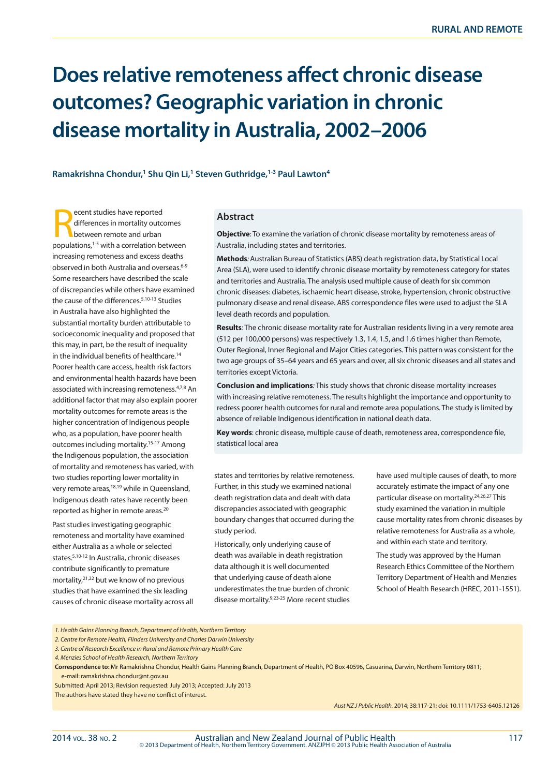# **Does relative remoteness affect chronic disease outcomes? Geographic variation in chronic disease mortality in Australia, 2002–2006**

**Ramakrishna Chondur,1 Shu Qin Li,1 Steven Guthridge,1-3 Paul Lawton4**

ecent studies have reported<br>differences in mortality outcomes<br>between remote and urban<br>populations,<sup>1-5</sup> with a correlation between ecent studies have reported differences in mortality outcomes between remote and urban increasing remoteness and excess deaths observed in both Australia and overseas.6-9 Some researchers have described the scale of discrepancies while others have examined the cause of the differences.5,10-13 Studies in Australia have also highlighted the substantial mortality burden attributable to socioeconomic inequality and proposed that this may, in part, be the result of inequality in the individual benefits of healthcare.14 Poorer health care access, health risk factors and environmental health hazards have been associated with increasing remoteness.4,7,8 An additional factor that may also explain poorer mortality outcomes for remote areas is the higher concentration of Indigenous people who, as a population, have poorer health outcomes including mortality.15-17 Among the Indigenous population, the association of mortality and remoteness has varied, with two studies reporting lower mortality in very remote areas,<sup>18,19</sup> while in Queensland, Indigenous death rates have recently been reported as higher in remote areas.20

Past studies investigating geographic remoteness and mortality have examined either Australia as a whole or selected states.5,10-12 In Australia, chronic diseases contribute significantly to premature mortality,21,22 but we know of no previous studies that have examined the six leading causes of chronic disease mortality across all

#### **Abstract**

**Objective**: To examine the variation of chronic disease mortality by remoteness areas of Australia, including states and territories.

**Methods***:* Australian Bureau of Statistics (ABS) death registration data, by Statistical Local Area (SLA), were used to identify chronic disease mortality by remoteness category for states and territories and Australia. The analysis used multiple cause of death for six common chronic diseases: diabetes, ischaemic heart disease, stroke, hypertension, chronic obstructive pulmonary disease and renal disease. ABS correspondence files were used to adjust the SLA level death records and population.

**Results***:* The chronic disease mortality rate for Australian residents living in a very remote area (512 per 100,000 persons) was respectively 1.3, 1.4, 1.5, and 1.6 times higher than Remote, Outer Regional, Inner Regional and Major Cities categories. This pattern was consistent for the two age groups of 35–64 years and 65 years and over, all six chronic diseases and all states and territories except Victoria.

**Conclusion and implications***:* This study shows that chronic disease mortality increases with increasing relative remoteness. The results highlight the importance and opportunity to redress poorer health outcomes for rural and remote area populations. The study is limited by absence of reliable Indigenous identification in national death data.

**Key words**: chronic disease, multiple cause of death, remoteness area, correspondence file, statistical local area

states and territories by relative remoteness. Further, in this study we examined national death registration data and dealt with data discrepancies associated with geographic boundary changes that occurred during the study period.

Historically, only underlying cause of death was available in death registration data although it is well documented that underlying cause of death alone underestimates the true burden of chronic disease mortality.9,23-25 More recent studies have used multiple causes of death, to more accurately estimate the impact of any one particular disease on mortality.<sup>24,26,27</sup> This study examined the variation in multiple cause mortality rates from chronic diseases by relative remoteness for Australia as a whole, and within each state and territory.

The study was approved by the Human Research Ethics Committee of the Northern Territory Department of Health and Menzies School of Health Research (HREC, 2011-1551).

- *2. Centre for Remote Health, Flinders University and Charles Darwin University*
- *3. Centre of Research Excellence in Rural and Remote Primary Health Care*
- *4. Menzies School of Health Research, Northern Territory*

**Correspondence to:** Mr Ramakrishna Chondur, Health Gains Planning Branch, Department of Health, PO Box 40596, Casuarina, Darwin, Northern Territory 0811; e-mail: ramakrishna.chondur@nt.gov.au

Submitted: April 2013; Revision requested: July 2013; Accepted: July 2013

The authors have stated they have no conflict of interest.

*Aust NZ J Public Health.* 2014; 38:117-21; doi: 10.1111/1753-6405.12126

*<sup>1.</sup> Health Gains Planning Branch, Department of Health, Northern Territory*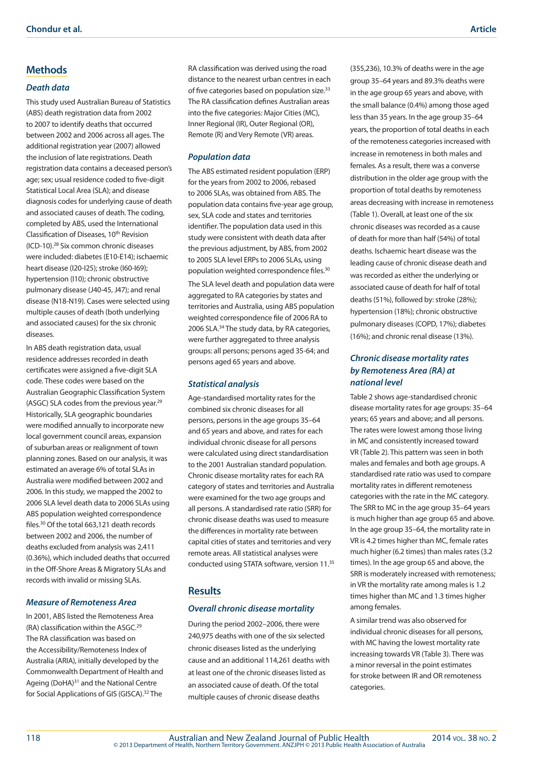### **Methods**

#### *Death data*

This study used Australian Bureau of Statistics (ABS) death registration data from 2002 to 2007 to identify deaths that occurred between 2002 and 2006 across all ages. The additional registration year (2007) allowed the inclusion of late registrations. Death registration data contains a deceased person's age; sex; usual residence coded to five-digit Statistical Local Area (SLA); and disease diagnosis codes for underlying cause of death and associated causes of death. The coding, completed by ABS, used the International Classification of Diseases, 10th Revision (ICD-10).28 Six common chronic diseases were included: diabetes (E10-E14); ischaemic heart disease (I20-I25); stroke (I60-I69); hypertension (I10); chronic obstructive pulmonary disease (J40-45, J47); and renal disease (N18-N19). Cases were selected using multiple causes of death (both underlying and associated causes) for the six chronic diseases.

In ABS death registration data, usual residence addresses recorded in death certificates were assigned a five-digit SLA code. These codes were based on the Australian Geographic Classification System (ASGC) SLA codes from the previous year.<sup>29</sup> Historically, SLA geographic boundaries were modified annually to incorporate new local government council areas, expansion of suburban areas or realignment of town planning zones. Based on our analysis, it was estimated an average 6% of total SLAs in Australia were modified between 2002 and 2006. In this study, we mapped the 2002 to 2006 SLA level death data to 2006 SLAs using ABS population weighted correspondence files.30 Of the total 663,121 death records between 2002 and 2006, the number of deaths excluded from analysis was 2,411 (0.36%), which included deaths that occurred in the Off-Shore Areas & Migratory SLAs and records with invalid or missing SLAs.

#### *Measure of Remoteness Area*

In 2001, ABS listed the Remoteness Area (RA) classification within the ASGC.29 The RA classification was based on the Accessibility/Remoteness Index of Australia (ARIA), initially developed by the Commonwealth Department of Health and Ageing (DoHA)<sup>31</sup> and the National Centre for Social Applications of GIS (GISCA).32 The

RA classification was derived using the road distance to the nearest urban centres in each of five categories based on population size.33 The RA classification defines Australian areas into the five categories: Major Cities (MC), Inner Regional (IR), Outer Regional (OR), Remote (R) and Very Remote (VR) areas.

#### *Population data*

The ABS estimated resident population (ERP) for the years from 2002 to 2006, rebased to 2006 SLAs, was obtained from ABS. The population data contains five-year age group, sex, SLA code and states and territories identifier. The population data used in this study were consistent with death data after the previous adjustment, by ABS, from 2002 to 2005 SLA level ERPs to 2006 SLAs, using population weighted correspondence files.<sup>30</sup> The SLA level death and population data were aggregated to RA categories by states and territories and Australia, using ABS population weighted correspondence file of 2006 RA to 2006 SLA.<sup>34</sup> The study data, by RA categories, were further aggregated to three analysis groups: all persons; persons aged 35-64; and persons aged 65 years and above.

#### *Statistical analysis*

Age-standardised mortality rates for the combined six chronic diseases for all persons, persons in the age groups 35–64 and 65 years and above, and rates for each individual chronic disease for all persons were calculated using direct standardisation to the 2001 Australian standard population. Chronic disease mortality rates for each RA category of states and territories and Australia were examined for the two age groups and all persons. A standardised rate ratio (SRR) for chronic disease deaths was used to measure the differences in mortality rate between capital cities of states and territories and very remote areas. All statistical analyses were conducted using STATA software, version 11.35

#### **Results**

#### *Overall chronic disease mortality*

During the period 2002–2006, there were 240,975 deaths with one of the six selected chronic diseases listed as the underlying cause and an additional 114,261 deaths with at least one of the chronic diseases listed as an associated cause of death. Of the total multiple causes of chronic disease deaths

(355,236), 10.3% of deaths were in the age group 35–64 years and 89.3% deaths were in the age group 65 years and above, with the small balance (0.4%) among those aged less than 35 years. In the age group 35–64 years, the proportion of total deaths in each of the remoteness categories increased with increase in remoteness in both males and females. As a result, there was a converse distribution in the older age group with the proportion of total deaths by remoteness areas decreasing with increase in remoteness (Table 1). Overall, at least one of the six chronic diseases was recorded as a cause of death for more than half (54%) of total deaths. Ischaemic heart disease was the leading cause of chronic disease death and was recorded as either the underlying or associated cause of death for half of total deaths (51%), followed by: stroke (28%); hypertension (18%); chronic obstructive pulmonary diseases (COPD, 17%); diabetes (16%); and chronic renal disease (13%).

#### *Chronic disease mortality rates by Remoteness Area (RA) at national level*

Table 2 shows age-standardised chronic disease mortality rates for age groups: 35–64 years; 65 years and above; and all persons. The rates were lowest among those living in MC and consistently increased toward VR (Table 2). This pattern was seen in both males and females and both age groups. A standardised rate ratio was used to compare mortality rates in different remoteness categories with the rate in the MC category. The SRR to MC in the age group 35–64 years is much higher than age group 65 and above. In the age group 35–64, the mortality rate in VR is 4.2 times higher than MC, female rates much higher (6.2 times) than males rates (3.2 times). In the age group 65 and above, the SRR is moderately increased with remoteness; in VR the mortality rate among males is 1.2 times higher than MC and 1.3 times higher among females.

A similar trend was also observed for individual chronic diseases for all persons, with MC having the lowest mortality rate increasing towards VR (Table 3). There was a minor reversal in the point estimates for stroke between IR and OR remoteness categories.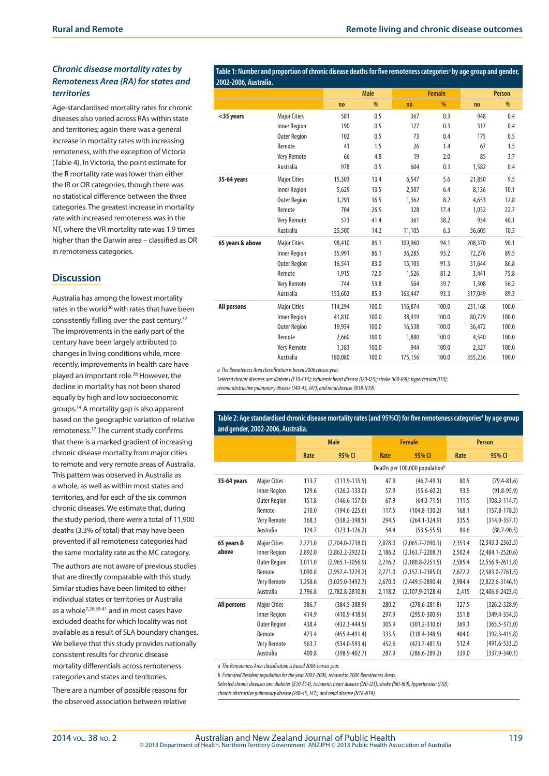#### *Chronic disease mortality rates by Remoteness Area (RA) for states and territories*

Age-standardised mortality rates for chronic diseases also varied across RAs within state and territories; again there was a general increase in mortality rates with increasing remoteness, with the exception of Victoria (Table 4). In Victoria, the point estimate for the R mortality rate was lower than either the IR or OR categories, though there was no statistical difference between the three categories. The greatest increase in mortality rate with increased remoteness was in the NT, where the VR mortality rate was 1.9 times higher than the Darwin area – classified as OR in remoteness categories.

## **Discussion**

Australia has among the lowest mortality rates in the world<sup>36</sup> with rates that have been consistently falling over the past century.37 The improvements in the early part of the century have been largely attributed to changes in living conditions while, more recently, improvements in health care have played an important role.38 However, the decline in mortality has not been shared equally by high and low socioeconomic groups.14 A mortality gap is also apparent based on the geographic variation of relative remoteness.17 The current study confirms that there is a marked gradient of increasing chronic disease mortality from major cities to remote and very remote areas of Australia. This pattern was observed in Australia as a whole, as well as within most states and territories, and for each of the six common chronic diseases. We estimate that, during the study period, there were a total of 11,900 deaths (3.3% of total) that may have been prevented if all remoteness categories had the same mortality rate as the MC category.

The authors are not aware of previous studies that are directly comparable with this study. Similar studies have been limited to either individual states or territories or Australia as a whole<sup>7,26,39-41</sup> and in most cases have excluded deaths for which locality was not available as a result of SLA boundary changes. We believe that this study provides nationally consistent results for chronic disease mortality differentials across remoteness categories and states and territories.

There are a number of possible reasons for the observed association between relative

Table 1: Number and proportion of chronic disease deaths for five remoteness categories<sup>a</sup> by age group and gender,

| 2002-2006, Australia. |                     |         |             |               |       |                |       |
|-----------------------|---------------------|---------|-------------|---------------|-------|----------------|-------|
|                       |                     |         | <b>Male</b> | <b>Female</b> |       | <b>Person</b>  |       |
|                       |                     | no      | %           | no            | %     | n <sub>o</sub> | %     |
| $<$ 35 years          | <b>Major Cities</b> | 581     | 0.5         | 367           | 0.3   | 948            | 0.4   |
|                       | <b>Inner Region</b> | 190     | 0.5         | 127           | 0.3   | 317            | 0.4   |
|                       | <b>Outer Region</b> | 102     | 0.5         | 73            | 0.4   | 175            | 0.5   |
|                       | Remote              | 41      | 1.5         | 26            | 1.4   | 67             | 1.5   |
|                       | <b>Very Remote</b>  | 66      | 4.8         | 19            | 2.0   | 85             | 3.7   |
|                       | Australia           | 978     | 0.5         | 604           | 0.3   | 1,582          | 0.4   |
| 35-64 years           | <b>Major Cities</b> | 15,303  | 13.4        | 6,547         | 5.6   | 21,850         | 9.5   |
|                       | <b>Inner Region</b> | 5,629   | 13.5        | 2,507         | 6.4   | 8,136          | 10.1  |
|                       | <b>Outer Region</b> | 3,291   | 16.5        | 1,362         | 8.2   | 4,653          | 12.8  |
|                       | Remote              | 704     | 26.5        | 328           | 17.4  | 1,032          | 22.7  |
|                       | <b>Very Remote</b>  | 573     | 41.4        | 361           | 38.2  | 934            | 40.1  |
|                       | Australia           | 25,500  | 14.2        | 11,105        | 6.3   | 36,605         | 10.3  |
| 65 years & above      | <b>Major Cities</b> | 98,410  | 86.1        | 109,960       | 94.1  | 208,370        | 90.1  |
|                       | <b>Inner Region</b> | 35,991  | 86.1        | 36,285        | 93.2  | 72,276         | 89.5  |
|                       | <b>Outer Region</b> | 16,541  | 83.0        | 15,103        | 91.3  | 31,644         | 86.8  |
|                       | Remote              | 1.915   | 72.0        | 1,526         | 81.2  | 3,441          | 75.8  |
|                       | <b>Very Remote</b>  | 744     | 53.8        | 564           | 59.7  | 1,308          | 56.2  |
|                       | Australia           | 153,602 | 85.3        | 163,447       | 93.3  | 317,049        | 89.3  |
| <b>All persons</b>    | <b>Major Cities</b> | 114,294 | 100.0       | 116,874       | 100.0 | 231,168        | 100.0 |
|                       | <b>Inner Region</b> | 41,810  | 100.0       | 38,919        | 100.0 | 80,729         | 100.0 |
|                       | <b>Outer Region</b> | 19,934  | 100.0       | 16,538        | 100.0 | 36,472         | 100.0 |
|                       | Remote              | 2,660   | 100.0       | 1,880         | 100.0 | 4,540          | 100.0 |
|                       | <b>Very Remote</b>  | 1,383   | 100.0       | 944           | 100.0 | 2,327          | 100.0 |
|                       | Australia           | 180,080 | 100.0       | 175,156       | 100.0 | 355,236        | 100.0 |

*a The Remoteness Area classification is based 2006 census year.*

*Selected chronic diseases are: diabetes (E10-E14); ischaemic heart disease (I20-I25); stroke (I60-I69); hypertension (I10);* 

*chronic obstructive pulmonary disease (J40-45, J47); and renal disease (N18-N19).*

#### Table 2: Age standardised chronic disease mortality rates (and 95%CI) for five remoteness categories<sup>a</sup> by age group **and gender, 2002-2006, Australia.**

|             |                     | <b>Male</b>                                |                      | <b>Female</b> |                       | <b>Person</b> |                      |
|-------------|---------------------|--------------------------------------------|----------------------|---------------|-----------------------|---------------|----------------------|
|             |                     | Rate                                       | 95% CI               | Rate          | 95% CI                | Rate          | 95% CI               |
|             |                     | Deaths per 100,000 population <sup>b</sup> |                      |               |                       |               |                      |
| 35-64 years | <b>Major Cities</b> | 113.7                                      | $(111.9 - 115.5)$    | 47.9          | $(46.7 - 49.1)$       | 80.5          | $(79.4 - 81.6)$      |
|             | <b>Inner Region</b> | 129.6                                      | $(126.2 - 133.0)$    | 57.9          | $(55.6 - 60.2)$       | 93.9          | $(91.8 - 95.9)$      |
|             | <b>Outer Region</b> | 151.8                                      | $(146.6 - 157.0)$    | 67.9          | $(64.3 - 71.5)$       | 111.5         | $(108.3 - 114.7)$    |
|             | Remote              | 210.0                                      | $(194.6 - 225.6)$    | 117.5         | $(104.8 - 130.2)$     | 168.1         | $(157.8 - 178.3)$    |
|             | Very Remote         | 368.3                                      | $(338.2 - 398.5)$    | 294.5         | $(264.1 - 324.9)$     | 335.5         | $(314.0 - 357.1)$    |
|             | Australia           | 124.7                                      | $(123.1 - 126.2)$    | 54.4          | $(53.5 - 55.5)$       | 89.6          | $(88.7 - 90.5)$      |
| 65 years &  | <b>Major Cities</b> | 2,721.0                                    | $(2,704.0 - 2738.0)$ | 2,078.0       | $(2,065.7 - 2090.3)$  | 2,353.4       | $(2,343.3-2363.5)$   |
| above       | <b>Inner Region</b> | 2,892.0                                    | $(2,862.2 - 2922.0)$ | 2,186.2       | $(2, 163.7 - 2208.7)$ | 2,502.4       | $(2,484.1 - 2520.6)$ |
|             | <b>Outer Region</b> | 3,011.0                                    | $(2,965.1 - 3056.9)$ | 2,216.2       | $(2,180.8-2251.5)$    | 2,585.4       | $(2,556.9 - 2613.8)$ |
|             | Remote              | 3,090.8                                    | $(2,952.4-3229.2)$   | 2,271.0       | $(2, 157.1 - 2385.0)$ | 2,672.2       | $(2,583.0-2761.5)$   |
|             | Very Remote         | 3,258.6                                    | $(3,025.0-3492.7)$   | 2,670.0       | $(2,449.5 - 2890.4)$  | 2,984.4       | $(2,822.6-3146.1)$   |
|             | Australia           | 2,796.8                                    | $(2,782.8-2810.8)$   | 2,118.2       | $(2, 107.9 - 2128.4)$ | 2,415         | $(2,406.6 - 2423.4)$ |
| All persons | <b>Major Cities</b> | 386.7                                      | $(384.5 - 388.9)$    | 280.2         | $(278.6 - 281.8)$     | 327.5         | $(326.2 - 328.9)$    |
|             | Inner Region        | 414.9                                      | $(410.9 - 418.9)$    | 297.9         | $(295.0 - 300.9)$     | 351.8         | $(349.4 - 354.3)$    |
|             | <b>Outer Region</b> | 438.4                                      | $(432.3 - 444.5)$    | 305.9         | $(301.2 - 310.6)$     | 369.3         | $(365.5 - 373.0)$    |
|             | Remote              | 473.4                                      | $(455.4 - 491.4)$    | 333.5         | $(318.4 - 348.5)$     | 404.0         | $(392.3 - 415.8)$    |
|             | Very Remote         | 563.7                                      | $(534.0 - 593.4)$    | 452.6         | $(423.7 - 481.5)$     | 512.4         | $(491.6 - 533.2)$    |
|             | Australia           | 400.8                                      | $(398.9 - 402.7)$    | 287.9         | $(286.6 - 289.2)$     | 339.0         | $(337.9 - 340.1)$    |

*a The Remoteness Area classification is based 2006 census year.*

*b Estimated Resident population for the year 2002-2006, rebased to 2006 Remoteness Areas.*

*Selected chronic diseases are: diabetes (E10-E14); ischaemic heart disease (I20-I25); stroke (I60-I69); hypertension (I10);* 

*chronic obstructive pulmonary disease (J40-45, J47); and renal disease (N18-N19).*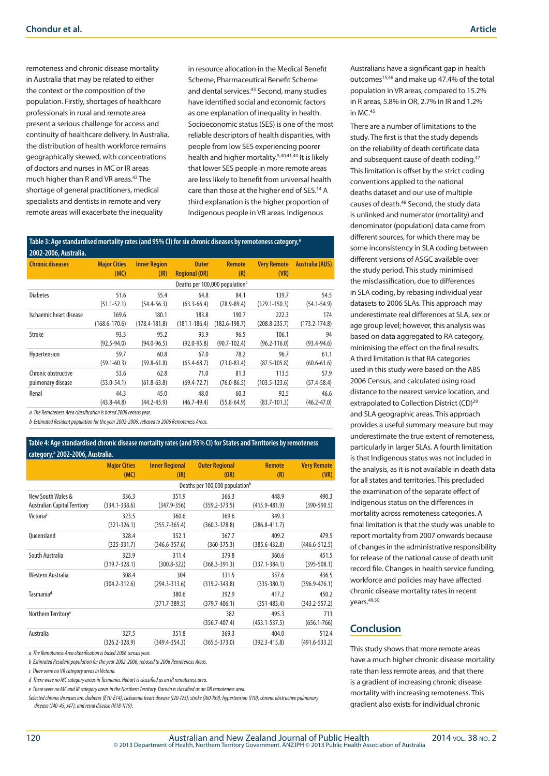remoteness and chronic disease mortality in Australia that may be related to either the context or the composition of the population. Firstly, shortages of healthcare professionals in rural and remote area present a serious challenge for access and continuity of healthcare delivery. In Australia, the distribution of health workforce remains geographically skewed, with concentrations of doctors and nurses in MC or IR areas much higher than R and VR areas.42 The shortage of general practitioners, medical specialists and dentists in remote and very remote areas will exacerbate the inequality

in resource allocation in the Medical Benefit Scheme, Pharmaceutical Benefit Scheme and dental services.43 Second, many studies have identified social and economic factors as one explanation of inequality in health. Socioeconomic status (SES) is one of the most reliable descriptors of health disparities, with people from low SES experiencing poorer health and higher mortality.5,40,41,44 It is likely that lower SES people in more remote areas are less likely to benefit from universal health care than those at the higher end of SES.14 A third explanation is the higher proportion of Indigenous people in VR areas. Indigenous

| 1990 - איז האט נכטווארט איז האט נוס אויר ווי וואר ווי דער אוויר אט נישטון כאשר נווויר שבער וויסגעון שונה איז ה |                     |                     |                      |                                            |                    |                        |
|----------------------------------------------------------------------------------------------------------------|---------------------|---------------------|----------------------|--------------------------------------------|--------------------|------------------------|
| 2002-2006, Australia.                                                                                          |                     |                     |                      |                                            |                    |                        |
| <b>Chronic diseases</b>                                                                                        | <b>Major Cities</b> | <b>Inner Region</b> | <b>Outer</b>         | Remote                                     | <b>Very Remote</b> | <b>Australia (AUS)</b> |
|                                                                                                                | (MC)                | (IR)                | <b>Regional (OR)</b> | (R)                                        | (VR)               |                        |
|                                                                                                                |                     |                     |                      | Deaths per 100,000 population <sup>b</sup> |                    |                        |
| <b>Diabetes</b>                                                                                                | 51.6                | 55.4                | 64.8                 | 84.1                                       | 139.7              | 54.5                   |
|                                                                                                                | $(51.1 - 52.1)$     | $(54.4 - 56.3)$     | $(63.3 - 66.4)$      | $(78.9 - 89.4)$                            | $(129.1 - 150.3)$  | $(54.1 - 54.9)$        |
| Ischaemic heart disease                                                                                        | 169.6               | 180.1               | 183.8                | 190.7                                      | 222.3              | 174                    |
|                                                                                                                | $(168.6 - 170.6)$   | $(178.4 - 181.8)$   | $(181.1 - 186.4)$    | $(182.6 - 198.7)$                          | $(208.8 - 235.7)$  | $(173.2 - 174.8)$      |
| <b>Stroke</b>                                                                                                  | 93.3                | 95.2                | 93.9                 | 96.5                                       | 106.1              | 94                     |
|                                                                                                                | $(92.5 - 94.0)$     | $(94.0 - 96.5)$     | $(92.0 - 95.8)$      | $(90.7 - 102.4)$                           | $(96.2 - 116.0)$   | $(93.4 - 94.6)$        |
| Hypertension                                                                                                   | 59.7                | 60.8                | 67.0                 | 78.2                                       | 96.7               | 61.1                   |
|                                                                                                                | $(59.1 - 60.3)$     | $(59.8 - 61.8)$     | $(65.4 - 68.7)$      | $(73.0 - 83.4)$                            | $(87.5 - 105.8)$   | $(60.6 - 61.6)$        |
| Chronic obstructive                                                                                            | 53.6                | 62.8                | 71.0                 | 81.3                                       | 113.5              | 57.9                   |
| pulmonary disease                                                                                              | $(53.0 - 54.1)$     | $(61.8 - 63.8)$     | $(69.4 - 72.7)$      | $(76.0 - 86.5)$                            | $(103.5 - 123.6)$  | $(57.4 - 58.4)$        |
| Renal                                                                                                          | 44.3                | 45.0                | 48.0                 | 60.3                                       | 92.5               | 46.6                   |
|                                                                                                                | $(43.8 - 44.8)$     | $(44.2 - 45.9)$     | $(46.7 - 49.4)$      | $(55.8 - 64.9)$                            | $(83.7 - 101.3)$   | $(46.2 - 47.0)$        |

**Table 3: Age standardised mortality rates (and 95% CI) for six chronic diseases by remoteness category,a**

*a The Remoteness Area classification is based 2006 census year.*

*b Estimated Resident population for the year 2002-2006, rebased to 2006 Remoteness Areas.*

#### **Table 4: Age standardised chronic disease mortality rates (and 95% CI) for States and Territories by remoteness category,a 2002-2006, Australia.**

|                                                                | <b>Major Cities</b>                        | <b>Inner Regional</b>      | <b>Outer Regional</b>      | <b>Remote</b>              | <b>Very Remote</b>         |  |  |
|----------------------------------------------------------------|--------------------------------------------|----------------------------|----------------------------|----------------------------|----------------------------|--|--|
|                                                                | (MC)                                       | (IR)                       | (OR)                       | (R)                        | (VR)                       |  |  |
|                                                                | Deaths per 100,000 population <sup>b</sup> |                            |                            |                            |                            |  |  |
| New South Wales &                                              | 336.3                                      | 351.9                      | 366.3                      | 448.9                      | 490.3                      |  |  |
| <b>Australian Capital Territory</b>                            | $(334.1 - 338.6)$                          | $(347.9 - 356)$            | $(359.2 - 373.5)$          | $(415.9 - 481.9)$          | $(390 - 590.5)$            |  |  |
| Victoria <sup>c</sup>                                          | 323.5<br>$(321 - 326.1)$                   | 360.6<br>$(355.7 - 365.4)$ | 369.6<br>$(360.3 - 378.8)$ | 349.3<br>$(286.8 - 411.7)$ |                            |  |  |
| <b>Oueensland</b>                                              | 328.4                                      | 352.1                      | 367.7                      | 409.2                      | 479.5                      |  |  |
|                                                                | $(325 - 331.7)$                            | $(346.6 - 357.6)$          | $(360 - 375.3)$            | $(385.6 - 432.8)$          | $(446.6 - 512.5)$          |  |  |
| South Australia                                                | 323.9                                      | 311.4                      | 379.8                      | 360.6                      | 451.5                      |  |  |
|                                                                | $(319.7 - 328.1)$                          | $(300.8 - 322)$            | $(368.3 - 391.3)$          | $(337.1 - 384.1)$          | $(395 - 508.1)$            |  |  |
| Western Australia                                              | 308.4                                      | 304                        | 331.5                      | 357.6                      | 436.5                      |  |  |
|                                                                | $(304.2 - 312.6)$                          | $(294.3 - 313.6)$          | $(319.2 - 343.8)$          | $(335 - 380.1)$            | $(396.9 - 476.1)$          |  |  |
| Tasmania <sup>d</sup>                                          |                                            | 380.6<br>$(371.7 - 389.5)$ | 392.9<br>$(379.7 - 406.1)$ | 417.2<br>$(351 - 483.4)$   | 450.2<br>$(343.2 - 557.2)$ |  |  |
| Northern Territory <sup>e</sup>                                |                                            |                            | 382<br>$(356.7 - 407.4)$   | 495.3<br>$(453.1 - 537.5)$ | 711<br>$(656.1 - 766)$     |  |  |
| Australia                                                      | 327.5                                      | 351.8                      | 369.3                      | 404.0                      | 512.4                      |  |  |
| a The Remoteness Area classification is hased 2006 census year | $(326.2 - 328.9)$                          | $(349.4 - 354.3)$          | $(365.5 - 373.0)$          | $(392.3 - 415.8)$          | $(491.6 - 533.2)$          |  |  |

*b Estimated Resident population for the year 2002-2006, rebased to 2006 Remoteness Areas.*

*c There were no VR category areas in Victoria.*

*d There were no MC category areas in Tasmania. Hobart is classified as an IR remoteness area.*

*e There were no MC and IR category areas in the Northern Territory. Darwin is classified as an OR remoteness area.* 

*Selected chronic diseases are: diabetes (E10-E14); ischaemic heart disease (I20-I25); stroke (I60-I69); hypertension (I10); chronic obstructive pulmonary disease (J40-45, J47); and renal disease (N18-N19).*

Australians have a significant gap in health outcomes<sup>15,46</sup> and make up 47.4% of the total population in VR areas, compared to 15.2% in R areas, 5.8% in OR, 2.7% in IR and 1.2% in  $MC<sup>45</sup>$ 

There are a number of limitations to the study. The first is that the study depends on the reliability of death certificate data and subsequent cause of death coding.47 This limitation is offset by the strict coding conventions applied to the national deaths dataset and our use of multiple causes of death.48 Second, the study data is unlinked and numerator (mortality) and denominator (population) data came from different sources, for which there may be some inconsistency in SLA coding between different versions of ASGC available over the study period. This study minimised the misclassification, due to differences in SLA coding, by rebasing individual year datasets to 2006 SLAs. This approach may underestimate real differences at SLA, sex or age group level; however, this analysis was based on data aggregated to RA category, minimising the effect on the final results. A third limitation is that RA categories used in this study were based on the ABS 2006 Census, and calculated using road distance to the nearest service location, and extrapolated to Collection District (CD)<sup>29</sup> and SLA geographic areas. This approach provides a useful summary measure but may underestimate the true extent of remoteness, particularly in larger SLAs. A fourth limitation is that Indigenous status was not included in the analysis, as it is not available in death data for all states and territories. This precluded the examination of the separate effect of Indigenous status on the differences in mortality across remoteness categories. A final limitation is that the study was unable to report mortality from 2007 onwards because of changes in the administrative responsibility for release of the national cause of death unit record file. Changes in health service funding, workforce and policies may have affected chronic disease mortality rates in recent years.49,50

### **Conclusion**

This study shows that more remote areas have a much higher chronic disease mortality rate than less remote areas, and that there is a gradient of increasing chronic disease mortality with increasing remoteness. This gradient also exists for individual chronic